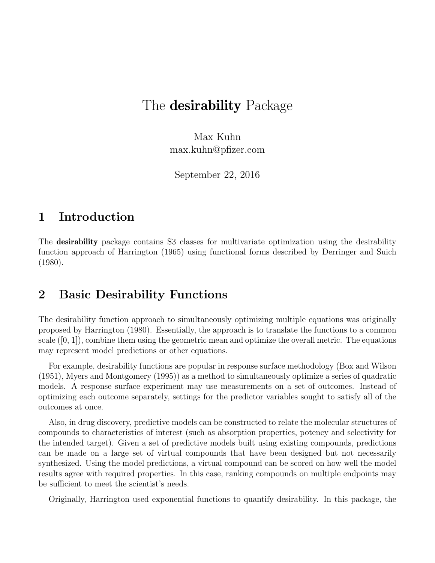# The **desirability** Package

Max Kuhn max.kuhn@pfizer.com

September 22, 2016

### 1 Introduction

The **desirability** package contains S3 classes for multivariate optimization using the desirability function approach of Harrington (1965) using functional forms described by Derringer and Suich (1980).

### 2 Basic Desirability Functions

The desirability function approach to simultaneously optimizing multiple equations was originally proposed by Harrington (1980). Essentially, the approach is to translate the functions to a common scale  $([0, 1])$ , combine them using the geometric mean and optimize the overall metric. The equations may represent model predictions or other equations.

For example, desirability functions are popular in response surface methodology (Box and Wilson (1951), Myers and Montgomery (1995)) as a method to simultaneously optimize a series of quadratic models. A response surface experiment may use measurements on a set of outcomes. Instead of optimizing each outcome separately, settings for the predictor variables sought to satisfy all of the outcomes at once.

Also, in drug discovery, predictive models can be constructed to relate the molecular structures of compounds to characteristics of interest (such as absorption properties, potency and selectivity for the intended target). Given a set of predictive models built using existing compounds, predictions can be made on a large set of virtual compounds that have been designed but not necessarily synthesized. Using the model predictions, a virtual compound can be scored on how well the model results agree with required properties. In this case, ranking compounds on multiple endpoints may be sufficient to meet the scientist's needs.

Originally, Harrington used exponential functions to quantify desirability. In this package, the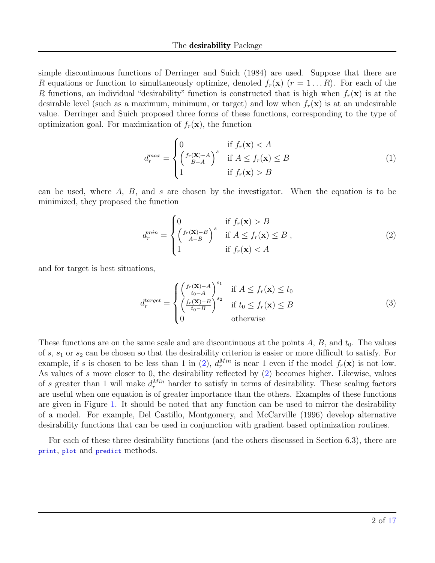simple discontinuous functions of Derringer and Suich (1984) are used. Suppose that there are R equations or function to simultaneously optimize, denoted  $f_r(\mathbf{x})$  ( $r = 1...R$ ). For each of the R functions, an individual "desirability" function is constructed that is high when  $f_r(\mathbf{x})$  is at the desirable level (such as a maximum, minimum, or target) and low when  $f_r(\mathbf{x})$  is at an undesirable value. Derringer and Suich proposed three forms of these functions, corresponding to the type of optimization goal. For maximization of  $f_r(\mathbf{x})$ , the function

<span id="page-1-1"></span>
$$
d_r^{max} = \begin{cases} 0 & \text{if } f_r(\mathbf{x}) < A \\ \left(\frac{f_r(\mathbf{x}) - A}{B - A}\right)^s & \text{if } A \le f_r(\mathbf{x}) \le B \\ 1 & \text{if } f_r(\mathbf{x}) > B \end{cases} \tag{1}
$$

can be used, where  $A, B$ , and s are chosen by the investigator. When the equation is to be minimized, they proposed the function

<span id="page-1-0"></span>
$$
d_r^{min} = \begin{cases} 0 & \text{if } f_r(\mathbf{x}) > B \\ \left(\frac{f_r(\mathbf{x}) - B}{A - B}\right)^s & \text{if } A \le f_r(\mathbf{x}) \le B \\ 1 & \text{if } f_r(\mathbf{x}) < A \end{cases}
$$
 (2)

and for target is best situations,

<span id="page-1-2"></span>
$$
d_r^{target} = \begin{cases} \left(\frac{f_r(\mathbf{X}) - A}{t_0 - A}\right)^{s_1} & \text{if } A \le f_r(\mathbf{x}) \le t_0\\ \left(\frac{f_r(\mathbf{X}) - B}{t_0 - B}\right)^{s_2} & \text{if } t_0 \le f_r(\mathbf{x}) \le B\\ 0 & \text{otherwise} \end{cases} \tag{3}
$$

These functions are on the same scale and are discontinuous at the points  $A, B$ , and  $t_0$ . The values of  $s, s_1$  or  $s_2$  can be chosen so that the desirability criterion is easier or more difficult to satisfy. For example, if s is chosen to be less than 1 in [\(2\)](#page-1-0),  $d_r^{Min}$  is near 1 even if the model  $f_r(\mathbf{x})$  is not low. As values of s move closer to 0, the desirability reflected by [\(2\)](#page-1-0) becomes higher. Likewise, values of s greater than 1 will make  $d_r^{Min}$  harder to satisfy in terms of desirability. These scaling factors are useful when one equation is of greater importance than the others. Examples of these functions are given in Figure [1.](#page-2-0) It should be noted that any function can be used to mirror the desirability of a model. For example, Del Castillo, Montgomery, and McCarville (1996) develop alternative desirability functions that can be used in conjunction with gradient based optimization routines.

For each of these three desirability functions (and the others discussed in Section 6.3), there are print, plot and predict methods.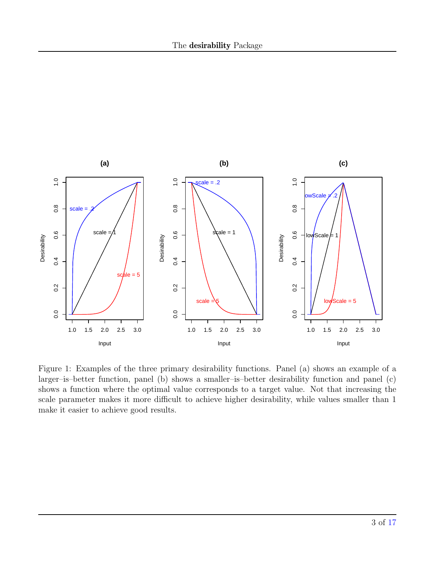

<span id="page-2-0"></span>Figure 1: Examples of the three primary desirability functions. Panel (a) shows an example of a larger–is–better function, panel (b) shows a smaller–is–better desirability function and panel (c) shows a function where the optimal value corresponds to a target value. Not that increasing the scale parameter makes it more difficult to achieve higher desirability, while values smaller than 1 make it easier to achieve good results.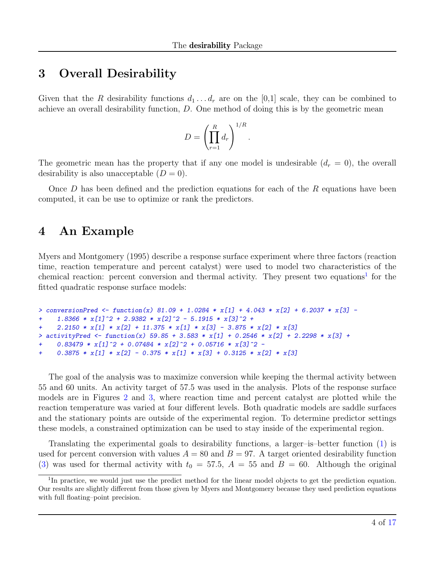### 3 Overall Desirability

Given that the R desirability functions  $d_1 \ldots d_r$  are on the [0,1] scale, they can be combined to achieve an overall desirability function, D. One method of doing this is by the geometric mean

$$
D = \left(\prod_{r=1}^R d_r\right)^{1/R}.
$$

The geometric mean has the property that if any one model is undesirable  $(d_r = 0)$ , the overall desirability is also unacceptable  $(D = 0)$ .

Once  $D$  has been defined and the prediction equations for each of the  $R$  equations have been computed, it can be use to optimize or rank the predictors.

## 4 An Example

Myers and Montgomery (1995) describe a response surface experiment where three factors (reaction time, reaction temperature and percent catalyst) were used to model two characteristics of the chemical reaction: percent conversion and thermal activity. They present two equations<sup>[1](#page-3-0)</sup> for the fitted quadratic response surface models:

```
> conversionPred <- function(x) 81.09 + 1.0284 * x[1] + 4.043 * x[2] + 6.2037 * x[3] -
     1.8366 * x[1] 2 + 2.9382 * x[2] 2 - 5.1915 * x[3] 2 ++ 2.2150 * x[1] * x[2] + 11.375 * x[1] * x[3] - 3.875 * x[2] * x[3]
> activityPred <- function(x) 59.85 + 3.583 * x[1] + 0.2546 * x[2] + 2.2298 * x[3] ++ 0.83479 * x[1] <sup>2</sup> + 0.07484 * x[2] <sup>2</sup> + 0.05716 * x[3] <sup>2</sup> -
+ 0.3875 \times x[1] \times x[2] - 0.375 \times x[1] \times x[3] + 0.3125 \times x[2] \times x[3]
```
The goal of the analysis was to maximize conversion while keeping the thermal activity between 55 and 60 units. An activity target of 57.5 was used in the analysis. Plots of the response surface models are in Figures [2](#page-4-0) and [3,](#page-6-0) where reaction time and percent catalyst are plotted while the reaction temperature was varied at four different levels. Both quadratic models are saddle surfaces and the stationary points are outside of the experimental region. To determine predictor settings these models, a constrained optimization can be used to stay inside of the experimental region.

Translating the experimental goals to desirability functions, a larger–is–better function [\(1\)](#page-1-1) is used for percent conversion with values  $A = 80$  and  $B = 97$ . A target oriented desirability function [\(3\)](#page-1-2) was used for thermal activity with  $t_0 = 57.5$ ,  $A = 55$  and  $B = 60$ . Although the original

<span id="page-3-0"></span><sup>&</sup>lt;sup>1</sup>In practice, we would just use the predict method for the linear model objects to get the prediction equation. Our results are slightly different from those given by Myers and Montgomery because they used prediction equations with full floating–point precision.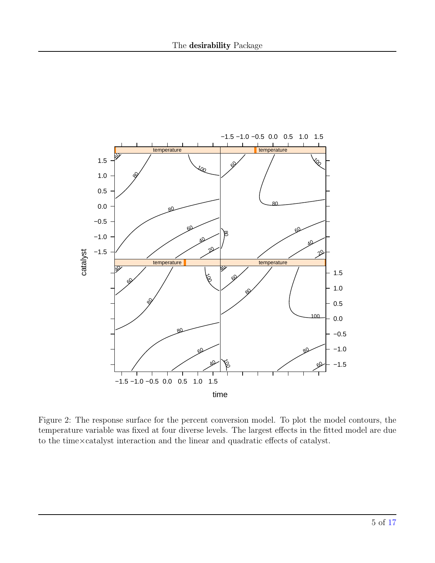

<span id="page-4-0"></span>Figure 2: The response surface for the percent conversion model. To plot the model contours, the temperature variable was fixed at four diverse levels. The largest effects in the fitted model are due to the time×catalyst interaction and the linear and quadratic effects of catalyst.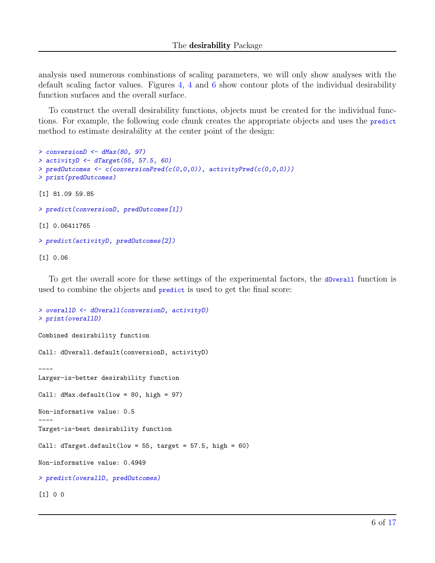analysis used numerous combinations of scaling parameters, we will only show analyses with the default scaling factor values. Figures [4,](#page-7-0) [4](#page-7-0) and [6](#page-9-0) show contour plots of the individual desirability function surfaces and the overall surface.

To construct the overall desirability functions, objects must be created for the individual functions. For example, the following code chunk creates the appropriate objects and uses the predict method to estimate desirability at the center point of the design:

```
> conversionD <- dMax(80, 97)
> activityD \leftarrow dTarget(55, 57.5, 60)
> predDutcomes <- c(conversionPred(c(0,0,0)), activityPred(c(0,0,0)))
> print(predOutcomes)
[1] 81.09 59.85
> predict(conversionD, predOutcomes[1])
[1] 0.06411765
> predict(activityD, predOutcomes[2])
[1] 0.06
```
To get the overall score for these settings of the experimental factors, the d0verall function is used to combine the objects and predict is used to get the final score:

```
> overallD <- dOverall(conversionD, activityD)
> print(overallD)
Combined desirability function
Call: dOverall.default(conversionD, activityD)
----
Larger-is-better desirability function
Call: dMax.default(low = 80, high = 97)Non-informative value: 0.5
----
Target-is-best desirability function
Call: dTarget.default(low = 55, target = 57.5, high = 60)
Non-informative value: 0.4949
> predict(overallD, predOutcomes)
[1] 0 0
```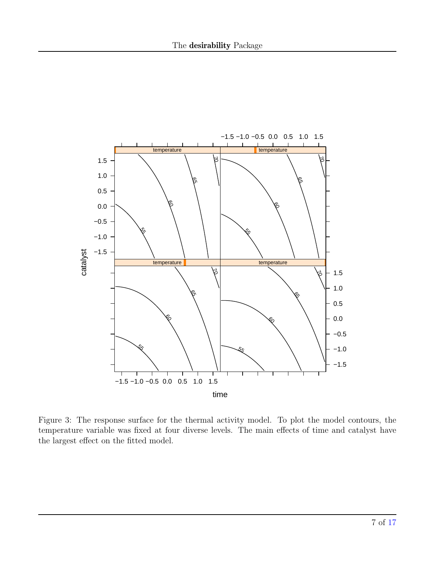

<span id="page-6-0"></span>Figure 3: The response surface for the thermal activity model. To plot the model contours, the temperature variable was fixed at four diverse levels. The main effects of time and catalyst have the largest effect on the fitted model.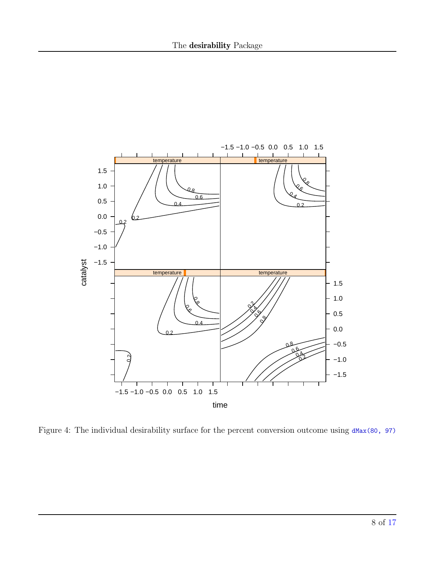

<span id="page-7-0"></span>Figure 4: The individual desirability surface for the percent conversion outcome using  $dMax(80, 97)$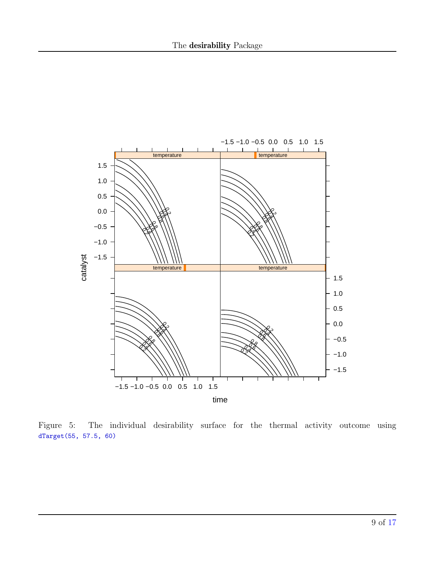

Figure 5: The individual desirability surface for the thermal activity outcome using dTarget(55, 57.5, 60)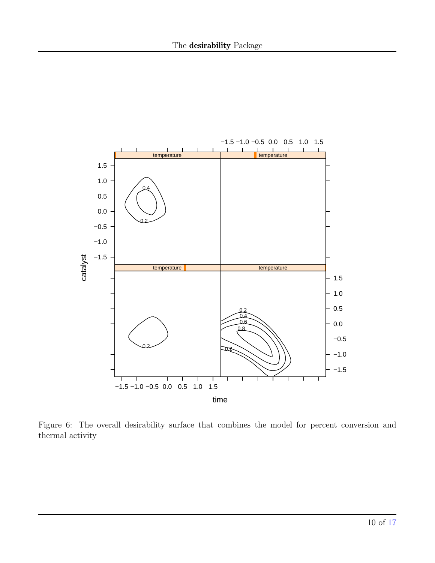

<span id="page-9-0"></span>Figure 6: The overall desirability surface that combines the model for percent conversion and thermal activity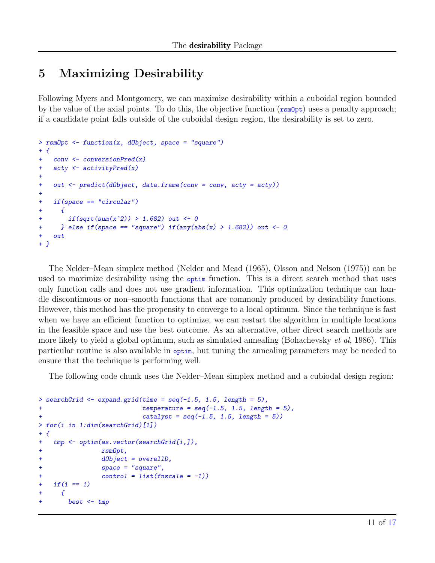# 5 Maximizing Desirability

Following Myers and Montgomery, we can maximize desirability within a cuboidal region bounded by the value of the axial points. To do this, the objective function ( $\text{rsmOpt}$ ) uses a penalty approach; if a candidate point falls outside of the cuboidal design region, the desirability is set to zero.

```
> rsmOpt \leq function(x, dObject, space = "square")
+ {
+ conv <- conversionPred(x)
+ acty <- activityPred(x)
+
+ out <- predict(dObject, data.frame(conv = conv, acty = acty))
+
+ if(space == "circular")
+ {
+ if(sqrt(sum(x^2)) > 1.682) out <- 0
+                        } else if(space == "square") if(any(abs(x) > 1.682)) out <- 0
+ out
+ }
```
The Nelder–Mean simplex method (Nelder and Mead (1965), Olsson and Nelson (1975)) can be used to maximize desirability using the optim function. This is a direct search method that uses only function calls and does not use gradient information. This optimization technique can handle discontinuous or non–smooth functions that are commonly produced by desirability functions. However, this method has the propensity to converge to a local optimum. Since the technique is fast when we have an efficient function to optimize, we can restart the algorithm in multiple locations in the feasible space and use the best outcome. As an alternative, other direct search methods are more likely to yield a global optimum, such as simulated annealing (Bohachevsky  $et al.$  1986). This particular routine is also available in optim, but tuning the annealing parameters may be needed to ensure that the technique is performing well.

The following code chunk uses the Nelder–Mean simplex method and a cubiodal design region:

```
> searchGrid \leq expand.grid(time = seq(-1.5, 1.5, length = 5),
+ \text{temperature} = \text{seq}(-1.5, 1.5, \text{length} = 5),+ catalyst = seq(-1.5, 1.5, length = 5))
> for(i in 1:dim(searchGrid)[1])
+ {
+ tmp <- optim(as.vector(searchGrid[i,]),
+ rsmOpt,
+ dObject = overallD,
+ space = "square",
+ control = list(fnscale = -1))
+ if(i == 1)+ {
+ best <- tmp
```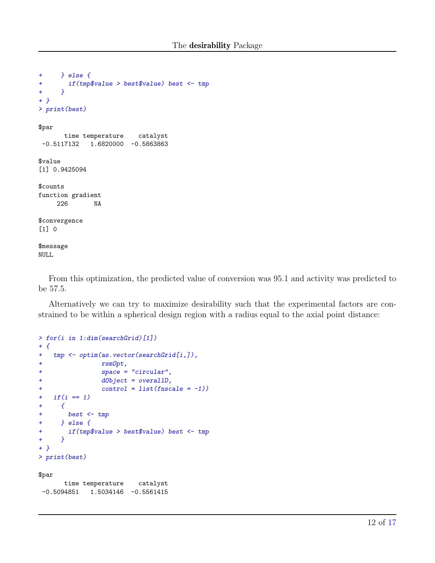```
+ } else {
+ if(tmp$value > best$value) best <- tmp
+ }
+ }
> print(best)
$par
      time temperature catalyst
-0.5117132 1.6820000 -0.5863863$value
[1] 0.9425094
$counts
function gradient
    226 NA
$convergence
[1] 0
$message
NULL
```
From this optimization, the predicted value of conversion was 95.1 and activity was predicted to be 57.5.

Alternatively we can try to maximize desirability such that the experimental factors are constrained to be within a spherical design region with a radius equal to the axial point distance:

```
> for(i in 1:dim(searchGrid)[1])
+ {
+ tmp <- optim(as.vector(searchGrid[i,]),
+ rsmOpt,
+ space = "circular",
+ dObject = overallD,
+ control = list(fnscale = -1))
+ if(i == 1)+ \{+ best <- tmp
+ } else {
+ if(tmp$value > best$value) best <- tmp
+ }
+ }
> print(best)
```
#### \$par

time temperature catalyst  $-0.5094851$  1.5034146  $-0.5561415$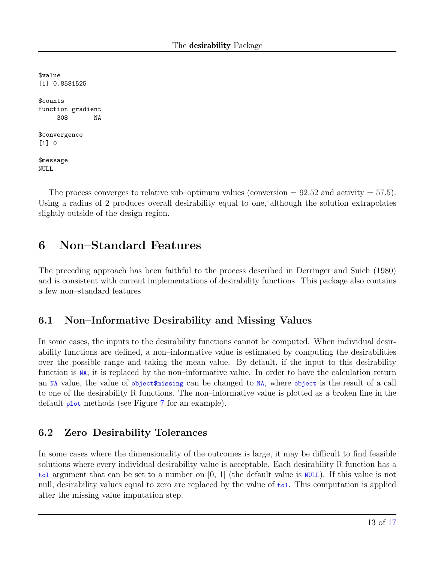\$value [1] 0.8581525 \$counts function gradient 308 NA \$convergence [1] 0 \$message NULL

The process converges to relative sub–optimum values (conversion  $= 92.52$  and activity  $= 57.5$ ). Using a radius of 2 produces overall desirability equal to one, although the solution extrapolates slightly outside of the design region.

## 6 Non–Standard Features

The preceding approach has been faithful to the process described in Derringer and Suich (1980) and is consistent with current implementations of desirability functions. This package also contains a few non–standard features.

### 6.1 Non–Informative Desirability and Missing Values

In some cases, the inputs to the desirability functions cannot be computed. When individual desirability functions are defined, a non–informative value is estimated by computing the desirabilities over the possible range and taking the mean value. By default, if the input to this desirability function is NA, it is replaced by the non–informative value. In order to have the calculation return an NA value, the value of object\$missing can be changed to NA, where object is the result of a call to one of the desirability R functions. The non–informative value is plotted as a broken line in the default plot methods (see Figure [7](#page-14-0) for an example).

### 6.2 Zero–Desirability Tolerances

In some cases where the dimensionality of the outcomes is large, it may be difficult to find feasible solutions where every individual desirability value is acceptable. Each desirability R function has a tol argument that can be set to a number on [0, 1] (the default value is NULL). If this value is not null, desirability values equal to zero are replaced by the value of tol. This computation is applied after the missing value imputation step.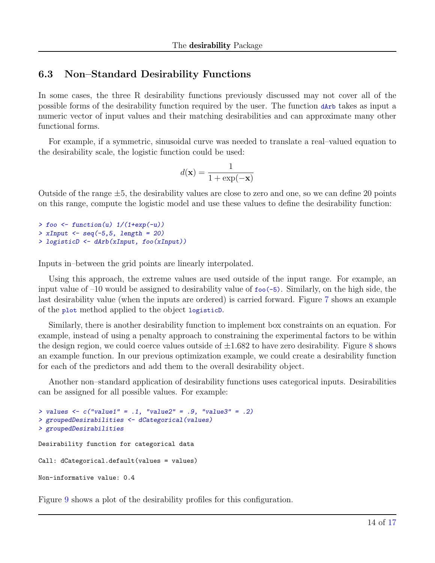### 6.3 Non–Standard Desirability Functions

In some cases, the three R desirability functions previously discussed may not cover all of the possible forms of the desirability function required by the user. The function dArb takes as input a numeric vector of input values and their matching desirabilities and can approximate many other functional forms.

For example, if a symmetric, sinusoidal curve was needed to translate a real–valued equation to the desirability scale, the logistic function could be used:

$$
d(\mathbf{x}) = \frac{1}{1+\exp(-\mathbf{x})}
$$

Outside of the range  $\pm 5$ , the desirability values are close to zero and one, so we can define 20 points on this range, compute the logistic model and use these values to define the desirability function:

```
> foo \leftarrow function(u) 1/(1+\exp(-u))> xInput \leq seq(-5, 5, length = 20)> logisticD <- dArb(xInput, foo(xInput))
```
Inputs in–between the grid points are linearly interpolated.

Using this approach, the extreme values are used outside of the input range. For example, an input value of  $-10$  would be assigned to desirability value of  $f \circ \circ (-5)$ . Similarly, on the high side, the last desirability value (when the inputs are ordered) is carried forward. Figure [7](#page-14-0) shows an example of the plot method applied to the object logisticD.

Similarly, there is another desirability function to implement box constraints on an equation. For example, instead of using a penalty approach to constraining the experimental factors to be within the design region, we could coerce values outside of  $\pm 1.682$  $\pm 1.682$  $\pm 1.682$  to have zero desirability. Figure 8 shows an example function. In our previous optimization example, we could create a desirability function for each of the predictors and add them to the overall desirability object.

Another non–standard application of desirability functions uses categorical inputs. Desirabilities can be assigned for all possible values. For example:

```
> values \le c("value1" = .1, "value2" = .9, "value3" = .2)> groupedDesirabilities <- dCategorical(values)
> groupedDesirabilities
Desirability function for categorical data
Call: dCategorical.default(values = values)
Non-informative value: 0.4
```
Figure [9](#page-15-0) shows a plot of the desirability profiles for this configuration.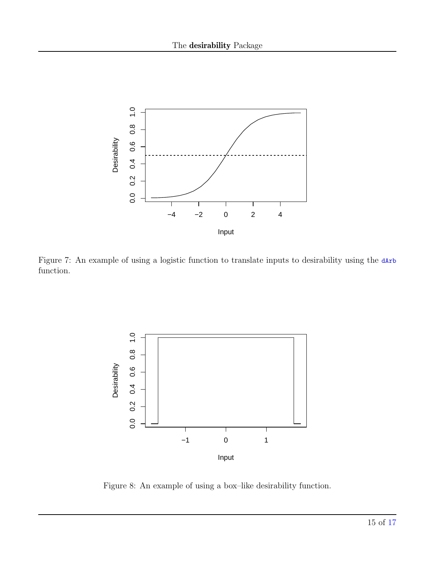

<span id="page-14-0"></span>Figure 7: An example of using a logistic function to translate inputs to desirability using the dArb function.



<span id="page-14-1"></span>Figure 8: An example of using a box–like desirability function.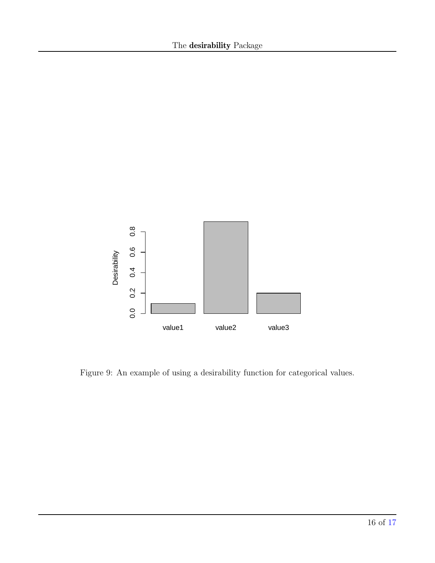

<span id="page-15-0"></span>Figure 9: An example of using a desirability function for categorical values.